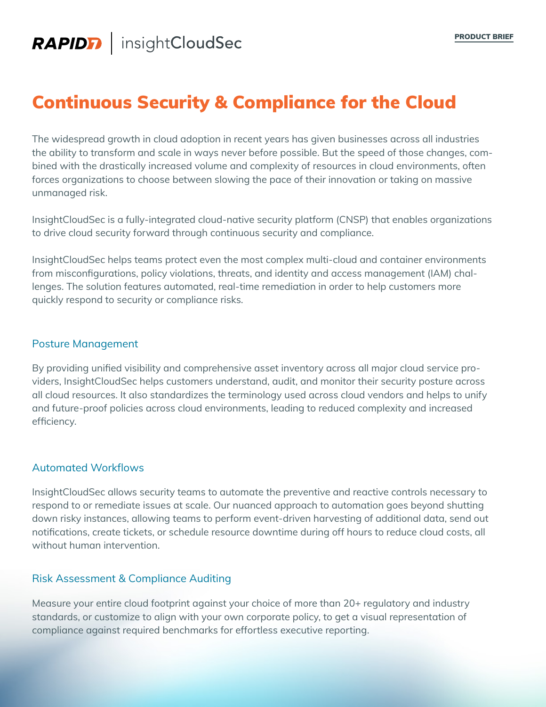# Continuous Security & Compliance for the Cloud

The widespread growth in cloud adoption in recent years has given businesses across all industries the ability to transform and scale in ways never before possible. But the speed of those changes, combined with the drastically increased volume and complexity of resources in cloud environments, often forces organizations to choose between slowing the pace of their innovation or taking on massive unmanaged risk.

InsightCloudSec is a fully-integrated cloud-native security platform (CNSP) that enables organizations to drive cloud security forward through continuous security and compliance.

InsightCloudSec helps teams protect even the most complex multi-cloud and container environments from misconfigurations, policy violations, threats, and identity and access management (IAM) challenges. The solution features automated, real-time remediation in order to help customers more quickly respond to security or compliance risks.

#### Posture Management

By providing unified visibility and comprehensive asset inventory across all major cloud service providers, InsightCloudSec helps customers understand, audit, and monitor their security posture across all cloud resources. It also standardizes the terminology used across cloud vendors and helps to unify and future-proof policies across cloud environments, leading to reduced complexity and increased efficiency.

#### Automated Workflows

InsightCloudSec allows security teams to automate the preventive and reactive controls necessary to respond to or remediate issues at scale. Our nuanced approach to automation goes beyond shutting down risky instances, allowing teams to perform event-driven harvesting of additional data, send out notifications, create tickets, or schedule resource downtime during off hours to reduce cloud costs, all without human intervention.

#### Risk Assessment & Compliance Auditing

Measure your entire cloud footprint against your choice of more than 20+ regulatory and industry standards, or customize to align with your own corporate policy, to get a visual representation of compliance against required benchmarks for effortless executive reporting.